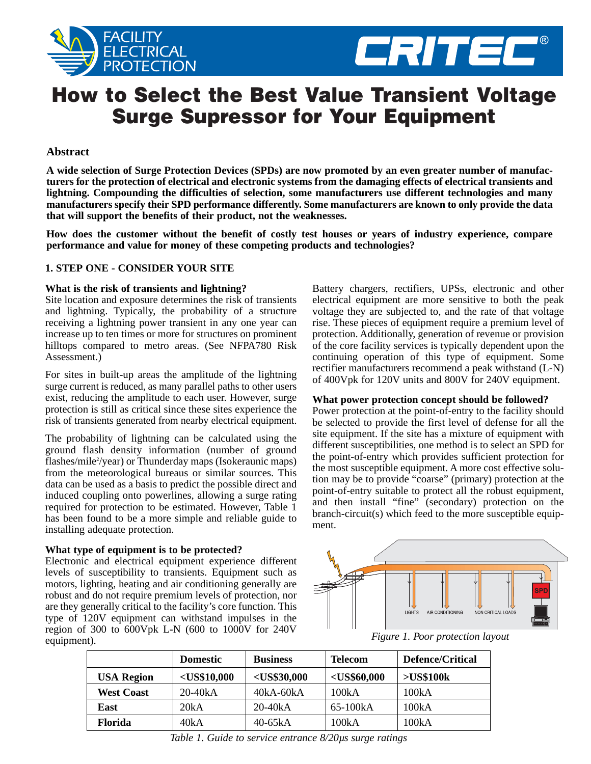



# **How to Select the Best Value Transient Voltage Surge Supressor for Your Equipment**

# **Abstract**

**A wide selection of Surge Protection Devices (SPDs) are now promoted by an even greater number of manufacturers for the protection of electrical and electronic systems from the damaging effects of electrical transients and lightning. Compounding the difficulties of selection, some manufacturers use different technologies and many manufacturers specify their SPD performance differently. Some manufacturers are known to only provide the data that will support the benefits of their product, not the weaknesses.** 

**How does the customer without the benefit of costly test houses or years of industry experience, compare performance and value for money of these competing products and technologies?**

# **1. STEP ONE - CONSIDER YOUR SITE**

## **What is the risk of transients and lightning?**

Site location and exposure determines the risk of transients and lightning. Typically, the probability of a structure receiving a lightning power transient in any one year can increase up to ten times or more for structures on prominent hilltops compared to metro areas. (See NFPA780 Risk Assessment.)

For sites in built-up areas the amplitude of the lightning surge current is reduced, as many parallel paths to other users exist, reducing the amplitude to each user. However, surge protection is still as critical since these sites experience the risk of transients generated from nearby electrical equipment.

The probability of lightning can be calculated using the ground flash density information (number of ground flashes/mile<sup>2</sup>/year) or Thunderday maps (Isokeraunic maps) from the meteorological bureaus or similar sources. This data can be used as a basis to predict the possible direct and induced coupling onto powerlines, allowing a surge rating required for protection to be estimated. However, Table 1 has been found to be a more simple and reliable guide to installing adequate protection.

## **What type of equipment is to be protected?**

Electronic and electrical equipment experience different levels of susceptibility to transients. Equipment such as motors, lighting, heating and air conditioning generally are robust and do not require premium levels of protection, nor are they generally critical to the facility's core function. This type of 120V equipment can withstand impulses in the region of 300 to 600Vpk L-N (600 to 1000V for 240V equipment).

Battery chargers, rectifiers, UPSs, electronic and other electrical equipment are more sensitive to both the peak voltage they are subjected to, and the rate of that voltage rise. These pieces of equipment require a premium level of protection. Additionally, generation of revenue or provision of the core facility services is typically dependent upon the continuing operation of this type of equipment. Some rectifier manufacturers recommend a peak withstand (L-N) of 400Vpk for 120V units and 800V for 240V equipment.

## **What power protection concept should be followed?**

Power protection at the point-of-entry to the facility should be selected to provide the first level of defense for all the site equipment. If the site has a mixture of equipment with different susceptibilities, one method is to select an SPD for the point-of-entry which provides sufficient protection for the most susceptible equipment. A more cost effective solution may be to provide "coarse" (primary) protection at the point-of-entry suitable to protect all the robust equipment, and then install "fine" (secondary) protection on the branch-circuit(s) which feed to the more susceptible equipment.



*Figure 1. Poor protection layout*

|                   | <b>Domestic</b> | <b>Business</b> | <b>Telecom</b> | Defence/Critical |
|-------------------|-----------------|-----------------|----------------|------------------|
| <b>USA Region</b> | $<$ US\$10,000  | $<$ US\$30,000  | $<$ US\$60,000 | >US\$100k        |
| <b>West Coast</b> | $20-40kA$       | $40kA-60kA$     | 100kA          | 100kA            |
| East              | 20kA            | $20-40kA$       | 65-100kA       | 100kA            |
| <b>Florida</b>    | 40kA            | $40-65kA$       | 100kA          | 100kA            |

*Table 1. Guide to service entrance 8/20µs surge ratings*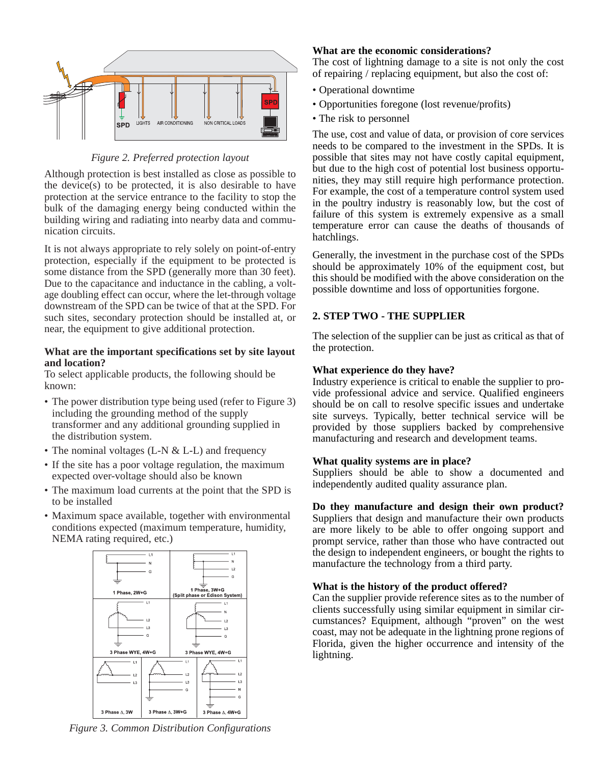

# *Figure 2. Preferred protection layout*

Although protection is best installed as close as possible to the device(s) to be protected, it is also desirable to have protection at the service entrance to the facility to stop the bulk of the damaging energy being conducted within the building wiring and radiating into nearby data and communication circuits.

It is not always appropriate to rely solely on point-of-entry protection, especially if the equipment to be protected is some distance from the SPD (generally more than 30 feet). Due to the capacitance and inductance in the cabling, a voltage doubling effect can occur, where the let-through voltage downstream of the SPD can be twice of that at the SPD. For such sites, secondary protection should be installed at, or near, the equipment to give additional protection.

## **What are the important specifications set by site layout and location?**

To select applicable products, the following should be known:

- The power distribution type being used (refer to Figure 3) including the grounding method of the supply transformer and any additional grounding supplied in the distribution system.
- The nominal voltages (L-N & L-L) and frequency
- If the site has a poor voltage regulation, the maximum expected over-voltage should also be known
- The maximum load currents at the point that the SPD is to be installed
- Maximum space available, together with environmental conditions expected (maximum temperature, humidity, NEMA rating required, etc.)



*Figure 3. Common Distribution Configurations*

## **What are the economic considerations?**

The cost of lightning damage to a site is not only the cost of repairing / replacing equipment, but also the cost of:

- Operational downtime
- Opportunities foregone (lost revenue/profits)
- The risk to personnel

The use, cost and value of data, or provision of core services needs to be compared to the investment in the SPDs. It is possible that sites may not have costly capital equipment, but due to the high cost of potential lost business opportunities, they may still require high performance protection. For example, the cost of a temperature control system used in the poultry industry is reasonably low, but the cost of failure of this system is extremely expensive as a small temperature error can cause the deaths of thousands of hatchlings.

Generally, the investment in the purchase cost of the SPDs should be approximately 10% of the equipment cost, but this should be modified with the above consideration on the possible downtime and loss of opportunities forgone.

# **2. STEP TWO - THE SUPPLIER**

The selection of the supplier can be just as critical as that of the protection.

## **What experience do they have?**

Industry experience is critical to enable the supplier to provide professional advice and service. Qualified engineers should be on call to resolve specific issues and undertake site surveys. Typically, better technical service will be provided by those suppliers backed by comprehensive manufacturing and research and development teams.

## **What quality systems are in place?**

Suppliers should be able to show a documented and independently audited quality assurance plan.

## **Do they manufacture and design their own product?**

Suppliers that design and manufacture their own products are more likely to be able to offer ongoing support and prompt service, rather than those who have contracted out the design to independent engineers, or bought the rights to manufacture the technology from a third party.

## **What is the history of the product offered?**

Can the supplier provide reference sites as to the number of clients successfully using similar equipment in similar circumstances? Equipment, although "proven" on the west coast, may not be adequate in the lightning prone regions of Florida, given the higher occurrence and intensity of the lightning.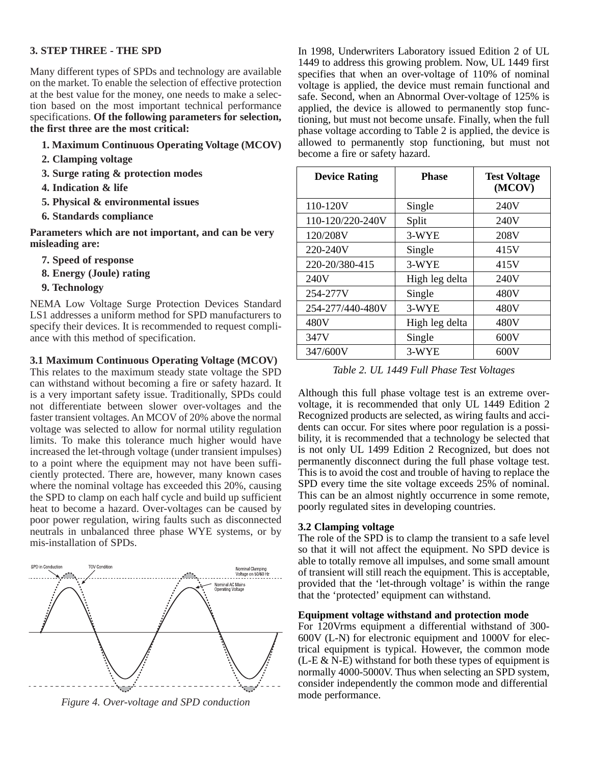# **3. STEP THREE - THE SPD**

Many different types of SPDs and technology are available on the market. To enable the selection of effective protection at the best value for the money, one needs to make a selection based on the most important technical performance specifications. **Of the following parameters for selection, the first three are the most critical:**

- **1. Maximum Continuous Operating Voltage (MCOV)**
- **2. Clamping voltage**
- **3. Surge rating & protection modes**
- **4. Indication & life**
- **5. Physical & environmental issues**
- **6. Standards compliance**

**Parameters which are not important, and can be very misleading are:**

- **7. Speed of response**
- **8. Energy (Joule) rating**
- **9. Technology**

NEMA Low Voltage Surge Protection Devices Standard LS1 addresses a uniform method for SPD manufacturers to specify their devices. It is recommended to request compliance with this method of specification.

## **3.1 Maximum Continuous Operating Voltage (MCOV)**

This relates to the maximum steady state voltage the SPD can withstand without becoming a fire or safety hazard. It is a very important safety issue. Traditionally, SPDs could not differentiate between slower over-voltages and the faster transient voltages. An MCOV of 20% above the normal voltage was selected to allow for normal utility regulation limits. To make this tolerance much higher would have increased the let-through voltage (under transient impulses) to a point where the equipment may not have been sufficiently protected. There are, however, many known cases where the nominal voltage has exceeded this 20%, causing the SPD to clamp on each half cycle and build up sufficient heat to become a hazard. Over-voltages can be caused by poor power regulation, wiring faults such as disconnected neutrals in unbalanced three phase WYE systems, or by mis-installation of SPDs.



*Figure 4. Over-voltage and SPD conduction*

In 1998, Underwriters Laboratory issued Edition 2 of UL 1449 to address this growing problem. Now, UL 1449 first specifies that when an over-voltage of 110% of nominal voltage is applied, the device must remain functional and safe. Second, when an Abnormal Over-voltage of 125% is applied, the device is allowed to permanently stop functioning, but must not become unsafe. Finally, when the full phase voltage according to Table 2 is applied, the device is allowed to permanently stop functioning, but must not become a fire or safety hazard.

| <b>Device Rating</b> | <b>Phase</b>   | <b>Test Voltage</b><br>(MCOV) |
|----------------------|----------------|-------------------------------|
| 110-120V             | Single         | 240V                          |
| 110-120/220-240V     | Split          | 240V                          |
| 120/208V             | 3-WYE          | 208V                          |
| 220-240V             | Single         | 415V                          |
| 220-20/380-415       | 3-WYE          | 415V                          |
| 240V                 | High leg delta | 240V                          |
| 254-277V             | Single         | 480V                          |
| 254-277/440-480V     | 3-WYE          | 480V                          |
| 480V                 | High leg delta | 480V                          |
| 347V                 | Single         | 600V                          |
| 347/600V             | 3-WYE          | 600V                          |

*Table 2. UL 1449 Full Phase Test Voltages*

Although this full phase voltage test is an extreme overvoltage, it is recommended that only UL 1449 Edition 2 Recognized products are selected, as wiring faults and accidents can occur. For sites where poor regulation is a possibility, it is recommended that a technology be selected that is not only UL 1499 Edition 2 Recognized, but does not permanently disconnect during the full phase voltage test. This is to avoid the cost and trouble of having to replace the SPD every time the site voltage exceeds 25% of nominal. This can be an almost nightly occurrence in some remote, poorly regulated sites in developing countries.

#### **3.2 Clamping voltage**

The role of the SPD is to clamp the transient to a safe level so that it will not affect the equipment. No SPD device is able to totally remove all impulses, and some small amount of transient will still reach the equipment. This is acceptable, provided that the 'let-through voltage' is within the range that the 'protected' equipment can withstand.

## **Equipment voltage withstand and protection mode**

For 120Vrms equipment a differential withstand of 300- 600V (L-N) for electronic equipment and 1000V for electrical equipment is typical. However, the common mode  $(L-E & N-E)$  withstand for both these types of equipment is normally 4000-5000V. Thus when selecting an SPD system, consider independently the common mode and differential mode performance.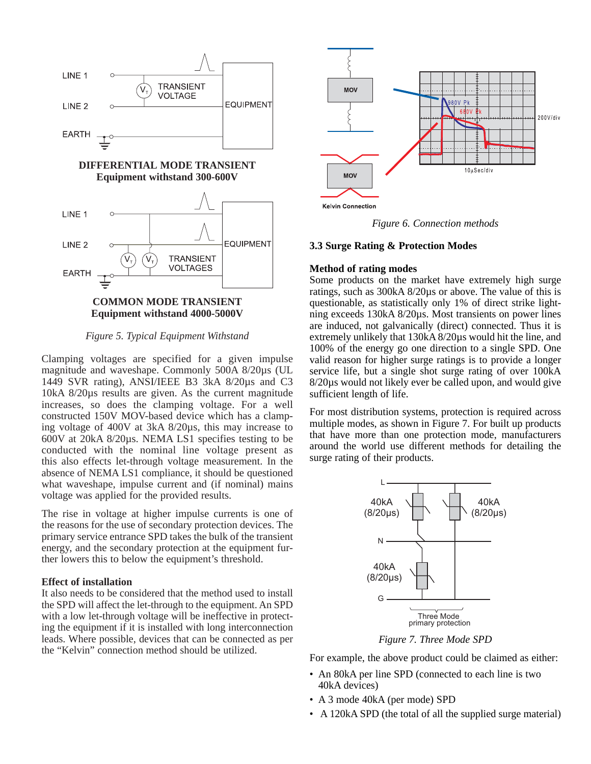

*Figure 5. Typical Equipment Withstand*

Clamping voltages are specified for a given impulse magnitude and waveshape. Commonly 500A 8/20µs (UL 1449 SVR rating), ANSI/IEEE B3 3kA 8/20µs and C3 10kA 8/20µs results are given. As the current magnitude increases, so does the clamping voltage. For a well constructed 150V MOV-based device which has a clamping voltage of 400V at 3kA 8/20µs, this may increase to 600V at 20kA 8/20µs. NEMA LS1 specifies testing to be conducted with the nominal line voltage present as this also effects let-through voltage measurement. In the absence of NEMA LS1 compliance, it should be questioned what waveshape, impulse current and (if nominal) mains voltage was applied for the provided results.

The rise in voltage at higher impulse currents is one of the reasons for the use of secondary protection devices. The primary service entrance SPD takes the bulk of the transient energy, and the secondary protection at the equipment further lowers this to below the equipment's threshold.

## **Effect of installation**

It also needs to be considered that the method used to install the SPD will affect the let-through to the equipment. An SPD with a low let-through voltage will be ineffective in protecting the equipment if it is installed with long interconnection leads. Where possible, devices that can be connected as per the "Kelvin" connection method should be utilized.



*Figure 6. Connection methods*

#### **3.3 Surge Rating & Protection Modes**

# **Method of rating modes**

Some products on the market have extremely high surge ratings, such as 300kA 8/20µs or above. The value of this is questionable, as statistically only 1% of direct strike lightning exceeds 130kA 8/20µs. Most transients on power lines are induced, not galvanically (direct) connected. Thus it is extremely unlikely that 130kA 8/20µs would hit the line, and 100% of the energy go one direction to a single SPD. One valid reason for higher surge ratings is to provide a longer service life, but a single shot surge rating of over 100kA 8/20µs would not likely ever be called upon, and would give sufficient length of life.

For most distribution systems, protection is required across multiple modes, as shown in Figure 7. For built up products that have more than one protection mode, manufacturers around the world use different methods for detailing the surge rating of their products.



*Figure 7. Three Mode SPD*

For example, the above product could be claimed as either:

- An 80kA per line SPD (connected to each line is two 40kA devices)
- A 3 mode 40kA (per mode) SPD
- A 120kA SPD (the total of all the supplied surge material)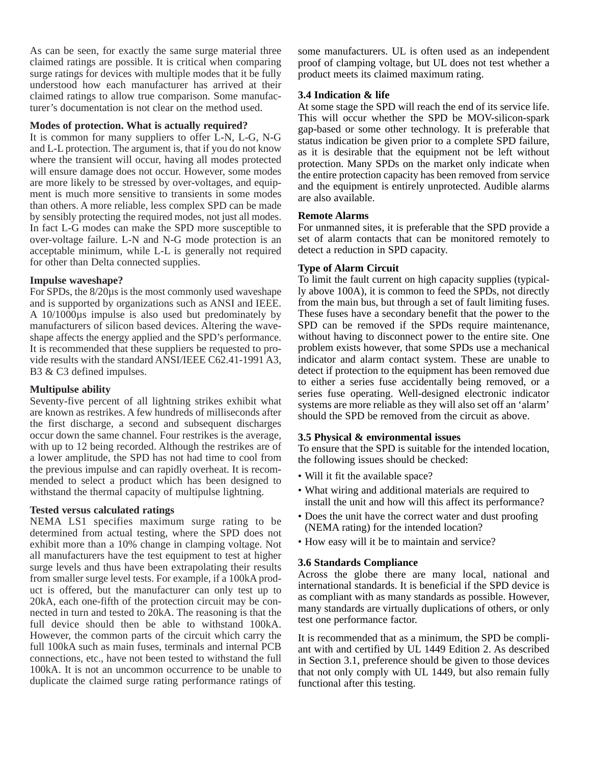As can be seen, for exactly the same surge material three claimed ratings are possible. It is critical when comparing surge ratings for devices with multiple modes that it be fully understood how each manufacturer has arrived at their claimed ratings to allow true comparison. Some manufacturer's documentation is not clear on the method used.

## **Modes of protection. What is actually required?**

It is common for many suppliers to offer L-N, L-G, N-G and L-L protection. The argument is, that if you do not know where the transient will occur, having all modes protected will ensure damage does not occur. However, some modes are more likely to be stressed by over-voltages, and equipment is much more sensitive to transients in some modes than others. A more reliable, less complex SPD can be made by sensibly protecting the required modes, not just all modes. In fact L-G modes can make the SPD more susceptible to over-voltage failure. L-N and N-G mode protection is an acceptable minimum, while L-L is generally not required for other than Delta connected supplies.

## **Impulse waveshape?**

For SPDs, the 8/20µs is the most commonly used waveshape and is supported by organizations such as ANSI and IEEE. A 10/1000µs impulse is also used but predominately by manufacturers of silicon based devices. Altering the waveshape affects the energy applied and the SPD's performance. It is recommended that these suppliers be requested to provide results with the standard ANSI/IEEE C62.41-1991 A3, B3 & C3 defined impulses.

## **Multipulse ability**

Seventy-five percent of all lightning strikes exhibit what are known as restrikes. A few hundreds of milliseconds after the first discharge, a second and subsequent discharges occur down the same channel. Four restrikes is the average, with up to 12 being recorded. Although the restrikes are of a lower amplitude, the SPD has not had time to cool from the previous impulse and can rapidly overheat. It is recommended to select a product which has been designed to withstand the thermal capacity of multipulse lightning.

## **Tested versus calculated ratings**

NEMA LS1 specifies maximum surge rating to be determined from actual testing, where the SPD does not exhibit more than a 10% change in clamping voltage. Not all manufacturers have the test equipment to test at higher surge levels and thus have been extrapolating their results from smaller surge level tests. For example, if a 100kA product is offered, but the manufacturer can only test up to 20kA, each one-fifth of the protection circuit may be connected in turn and tested to 20kA. The reasoning is that the full device should then be able to withstand 100kA. However, the common parts of the circuit which carry the full 100kA such as main fuses, terminals and internal PCB connections, etc., have not been tested to withstand the full 100kA. It is not an uncommon occurrence to be unable to duplicate the claimed surge rating performance ratings of

some manufacturers. UL is often used as an independent proof of clamping voltage, but UL does not test whether a product meets its claimed maximum rating.

## **3.4 Indication & life**

At some stage the SPD will reach the end of its service life. This will occur whether the SPD be MOV-silicon-spark gap-based or some other technology. It is preferable that status indication be given prior to a complete SPD failure, as it is desirable that the equipment not be left without protection. Many SPDs on the market only indicate when the entire protection capacity has been removed from service and the equipment is entirely unprotected. Audible alarms are also available.

## **Remote Alarms**

For unmanned sites, it is preferable that the SPD provide a set of alarm contacts that can be monitored remotely to detect a reduction in SPD capacity.

# **Type of Alarm Circuit**

To limit the fault current on high capacity supplies (typically above 100A), it is common to feed the SPDs, not directly from the main bus, but through a set of fault limiting fuses. These fuses have a secondary benefit that the power to the SPD can be removed if the SPDs require maintenance, without having to disconnect power to the entire site. One problem exists however, that some SPDs use a mechanical indicator and alarm contact system. These are unable to detect if protection to the equipment has been removed due to either a series fuse accidentally being removed, or a series fuse operating. Well-designed electronic indicator systems are more reliable as they will also set off an 'alarm' should the SPD be removed from the circuit as above.

## **3.5 Physical & environmental issues**

To ensure that the SPD is suitable for the intended location, the following issues should be checked:

- Will it fit the available space?
- What wiring and additional materials are required to install the unit and how will this affect its performance?
- Does the unit have the correct water and dust proofing (NEMA rating) for the intended location?
- How easy will it be to maintain and service?

## **3.6 Standards Compliance**

Across the globe there are many local, national and international standards. It is beneficial if the SPD device is as compliant with as many standards as possible. However, many standards are virtually duplications of others, or only test one performance factor.

It is recommended that as a minimum, the SPD be compliant with and certified by UL 1449 Edition 2. As described in Section 3.1, preference should be given to those devices that not only comply with UL 1449, but also remain fully functional after this testing.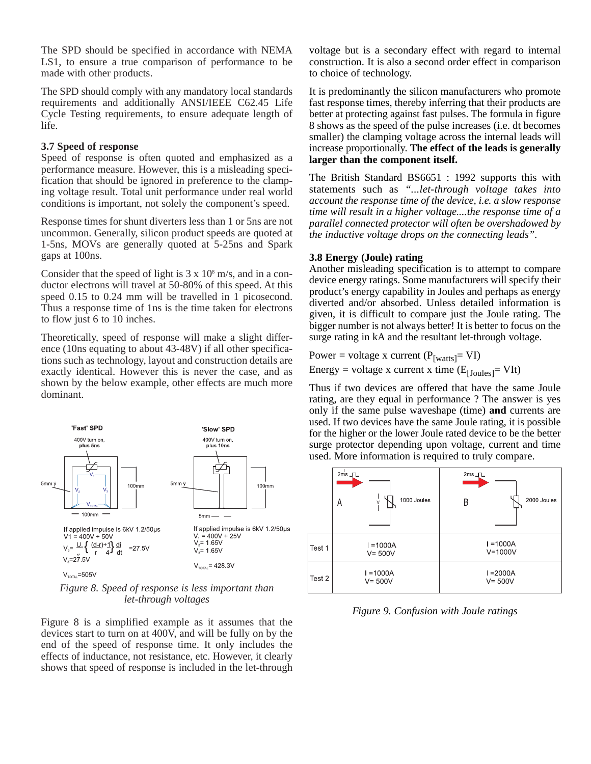The SPD should be specified in accordance with NEMA LS1, to ensure a true comparison of performance to be made with other products.

The SPD should comply with any mandatory local standards requirements and additionally ANSI/IEEE C62.45 Life Cycle Testing requirements, to ensure adequate length of life.

## **3.7 Speed of response**

Speed of response is often quoted and emphasized as a performance measure. However, this is a misleading specification that should be ignored in preference to the clamping voltage result. Total unit performance under real world conditions is important, not solely the component's speed.

Response times for shunt diverters less than 1 or 5ns are not uncommon. Generally, silicon product speeds are quoted at 1-5ns, MOVs are generally quoted at 5-25ns and Spark gaps at 100ns.

Consider that the speed of light is  $3 \times 10^8$  m/s, and in a conductor electrons will travel at 50-80% of this speed. At this speed 0.15 to 0.24 mm will be travelled in 1 picosecond. Thus a response time of 1ns is the time taken for electrons to flow just 6 to 10 inches.

Theoretically, speed of response will make a slight difference (10ns equating to about 43-48V) if all other specifications such as technology, layout and construction details are exactly identical. However this is never the case, and as shown by the below example, other effects are much more dominant.



*Figure 8. Speed of response is less important than let-through voltages*

Figure 8 is a simplified example as it assumes that the devices start to turn on at 400V, and will be fully on by the end of the speed of response time. It only includes the effects of inductance, not resistance, etc. However, it clearly shows that speed of response is included in the let-through

voltage but is a secondary effect with regard to internal construction. It is also a second order effect in comparison to choice of technology.

It is predominantly the silicon manufacturers who promote fast response times, thereby inferring that their products are better at protecting against fast pulses. The formula in figure 8 shows as the speed of the pulse increases (i.e. dt becomes smaller) the clamping voltage across the internal leads will increase proportionally. **The effect of the leads is generally larger than the component itself.**

The British Standard BS6651 : 1992 supports this with statements such as *"...let-through voltage takes into account the response time of the device, i.e. a slow response time will result in a higher voltage....the response time of a parallel connected protector will often be overshadowed by the inductive voltage drops on the connecting leads".*

# **3.8 Energy (Joule) rating**

Another misleading specification is to attempt to compare device energy ratings. Some manufacturers will specify their product's energy capability in Joules and perhaps as energy diverted and/or absorbed. Unless detailed information is given, it is difficult to compare just the Joule rating. The bigger number is not always better! It is better to focus on the surge rating in kA and the resultant let-through voltage.

Power = voltage x current  $(P<sub>[watts]</sub> = VI)$ 

Energy = voltage x current x time  $(E_{[Joules]} = VIt)$ 

Thus if two devices are offered that have the same Joule rating, are they equal in performance ? The answer is yes only if the same pulse waveshape (time) **and** currents are used. If two devices have the same Joule rating, it is possible for the higher or the lower Joule rated device to be the better surge protector depending upon voltage, current and time used. More information is required to truly compare.

|        | $2ms$ $TL$<br>1000 Joules<br>А<br>V | $2ms$ $TL$<br>2000 Joules<br>B |  |
|--------|-------------------------------------|--------------------------------|--|
| Test 1 | $I = 1000A$<br>$V = 500V$           | $I = 1000A$<br>$V = 1000V$     |  |
| Test 2 | $I = 1000A$<br>$V = 500V$           | $I = 2000A$<br>$V = 500V$      |  |

*Figure 9. Confusion with Joule ratings*